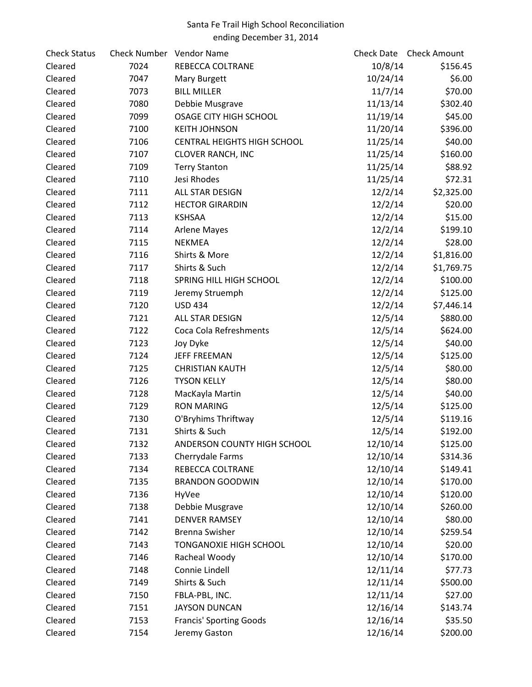## Santa Fe Trail High School Reconciliation ending December 31, 2014

| <b>Check Status</b> | Check Number Vendor Name |                                    |          | Check Date Check Amount |
|---------------------|--------------------------|------------------------------------|----------|-------------------------|
| Cleared             | 7024                     | REBECCA COLTRANE                   | 10/8/14  | \$156.45                |
| Cleared             | 7047                     | Mary Burgett                       | 10/24/14 | \$6.00                  |
| Cleared             | 7073                     | <b>BILL MILLER</b>                 | 11/7/14  | \$70.00                 |
| Cleared             | 7080                     | Debbie Musgrave                    | 11/13/14 | \$302.40                |
| Cleared             | 7099                     | OSAGE CITY HIGH SCHOOL             | 11/19/14 | \$45.00                 |
| Cleared             | 7100                     | <b>KEITH JOHNSON</b>               | 11/20/14 | \$396.00                |
| Cleared             | 7106                     | <b>CENTRAL HEIGHTS HIGH SCHOOL</b> | 11/25/14 | \$40.00                 |
| Cleared             | 7107                     | <b>CLOVER RANCH, INC</b>           | 11/25/14 | \$160.00                |
| Cleared             | 7109                     | <b>Terry Stanton</b>               | 11/25/14 | \$88.92                 |
| Cleared             | 7110                     | Jesi Rhodes                        | 11/25/14 | \$72.31                 |
| Cleared             | 7111                     | ALL STAR DESIGN                    | 12/2/14  | \$2,325.00              |
| Cleared             | 7112                     | <b>HECTOR GIRARDIN</b>             | 12/2/14  | \$20.00                 |
| Cleared             | 7113                     | <b>KSHSAA</b>                      | 12/2/14  | \$15.00                 |
| Cleared             | 7114                     | <b>Arlene Mayes</b>                | 12/2/14  | \$199.10                |
| Cleared             | 7115                     | <b>NEKMEA</b>                      | 12/2/14  | \$28.00                 |
| Cleared             | 7116                     | Shirts & More                      | 12/2/14  | \$1,816.00              |
| Cleared             | 7117                     | Shirts & Such                      | 12/2/14  | \$1,769.75              |
| Cleared             | 7118                     | SPRING HILL HIGH SCHOOL            | 12/2/14  | \$100.00                |
| Cleared             | 7119                     | Jeremy Struemph                    | 12/2/14  | \$125.00                |
| Cleared             | 7120                     | <b>USD 434</b>                     | 12/2/14  | \$7,446.14              |
| Cleared             | 7121                     | ALL STAR DESIGN                    | 12/5/14  | \$880.00                |
| Cleared             | 7122                     | Coca Cola Refreshments             | 12/5/14  | \$624.00                |
| Cleared             | 7123                     | Joy Dyke                           | 12/5/14  | \$40.00                 |
| Cleared             | 7124                     | <b>JEFF FREEMAN</b>                | 12/5/14  | \$125.00                |
| Cleared             | 7125                     | <b>CHRISTIAN KAUTH</b>             | 12/5/14  | \$80.00                 |
| Cleared             | 7126                     | <b>TYSON KELLY</b>                 | 12/5/14  | \$80.00                 |
| Cleared             | 7128                     | MacKayla Martin                    | 12/5/14  | \$40.00                 |
| Cleared             | 7129                     | <b>RON MARING</b>                  | 12/5/14  | \$125.00                |
| Cleared             | 7130                     | O'Bryhims Thriftway                | 12/5/14  | \$119.16                |
| Cleared             | 7131                     | Shirts & Such                      | 12/5/14  | \$192.00                |
| Cleared             | 7132                     | ANDERSON COUNTY HIGH SCHOOL        | 12/10/14 | \$125.00                |
| Cleared             | 7133                     | Cherrydale Farms                   | 12/10/14 | \$314.36                |
| Cleared             | 7134                     | REBECCA COLTRANE                   | 12/10/14 | \$149.41                |
| Cleared             | 7135                     | <b>BRANDON GOODWIN</b>             | 12/10/14 | \$170.00                |
| Cleared             | 7136                     | HyVee                              | 12/10/14 | \$120.00                |
| Cleared             | 7138                     | Debbie Musgrave                    | 12/10/14 | \$260.00                |
| Cleared             | 7141                     | <b>DENVER RAMSEY</b>               | 12/10/14 | \$80.00                 |
| Cleared             | 7142                     | <b>Brenna Swisher</b>              | 12/10/14 | \$259.54                |
| Cleared             | 7143                     | TONGANOXIE HIGH SCHOOL             | 12/10/14 | \$20.00                 |
| Cleared             | 7146                     | Racheal Woody                      | 12/10/14 | \$170.00                |
| Cleared             | 7148                     | Connie Lindell                     | 12/11/14 | \$77.73                 |
| Cleared             | 7149                     | Shirts & Such                      | 12/11/14 | \$500.00                |
| Cleared             | 7150                     | FBLA-PBL, INC.                     | 12/11/14 | \$27.00                 |
| Cleared             | 7151                     | <b>JAYSON DUNCAN</b>               | 12/16/14 | \$143.74                |
| Cleared             | 7153                     | <b>Francis' Sporting Goods</b>     | 12/16/14 | \$35.50                 |
| Cleared             | 7154                     | Jeremy Gaston                      | 12/16/14 | \$200.00                |